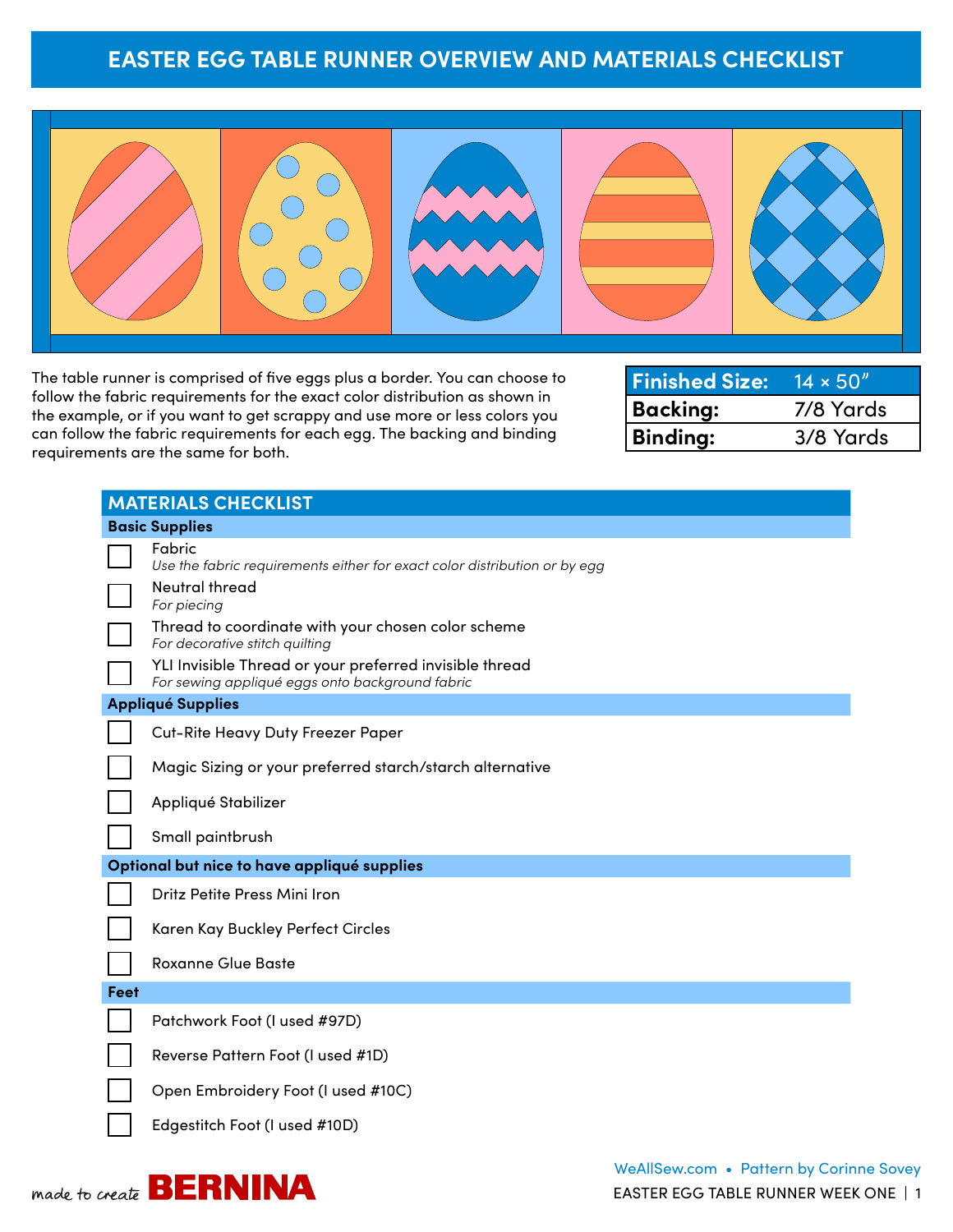#### **EASTER EGG TABLE RUNNER OVERVIEW AND MATERIALS CHECKLIST**



The table runner is comprised of five eggs plus a border. You can choose to follow the fabric requirements for the exact color distribution as shown in the example, or if you want to get scrappy and use more or less colors you can follow the fabric requirements for each egg. The backing and binding requirements are the same for both.

| <b>Finished Size: 14 × 50"</b> |           |
|--------------------------------|-----------|
| Backing:                       | 7/8 Yards |
| <b>Binding:</b>                | 3/8 Yards |

|                                             | <b>MATERIALS CHECKLIST</b>                                                                                 |  |  |  |  |
|---------------------------------------------|------------------------------------------------------------------------------------------------------------|--|--|--|--|
|                                             | <b>Basic Supplies</b>                                                                                      |  |  |  |  |
|                                             | Fabric<br>Use the fabric requirements either for exact color distribution or by egg                        |  |  |  |  |
|                                             | Neutral thread<br>For piecing                                                                              |  |  |  |  |
|                                             | Thread to coordinate with your chosen color scheme<br>For decorative stitch quilting                       |  |  |  |  |
|                                             | YLI Invisible Thread or your preferred invisible thread<br>For sewing appliqué eggs onto background fabric |  |  |  |  |
|                                             | <b>Appliqué Supplies</b>                                                                                   |  |  |  |  |
|                                             | Cut-Rite Heavy Duty Freezer Paper                                                                          |  |  |  |  |
|                                             | Magic Sizing or your preferred starch/starch alternative                                                   |  |  |  |  |
|                                             | Appliqué Stabilizer                                                                                        |  |  |  |  |
|                                             | Small paintbrush                                                                                           |  |  |  |  |
| Optional but nice to have appliqué supplies |                                                                                                            |  |  |  |  |
|                                             | Dritz Petite Press Mini Iron                                                                               |  |  |  |  |
|                                             | Karen Kay Buckley Perfect Circles                                                                          |  |  |  |  |
|                                             | <b>Roxanne Glue Baste</b>                                                                                  |  |  |  |  |
| Feet                                        |                                                                                                            |  |  |  |  |
|                                             | Patchwork Foot (I used #97D)                                                                               |  |  |  |  |
|                                             | Reverse Pattern Foot (I used #1D)                                                                          |  |  |  |  |
|                                             | Open Embroidery Foot (I used #10C)                                                                         |  |  |  |  |
|                                             | Edgestitch Foot (I used #10D)                                                                              |  |  |  |  |

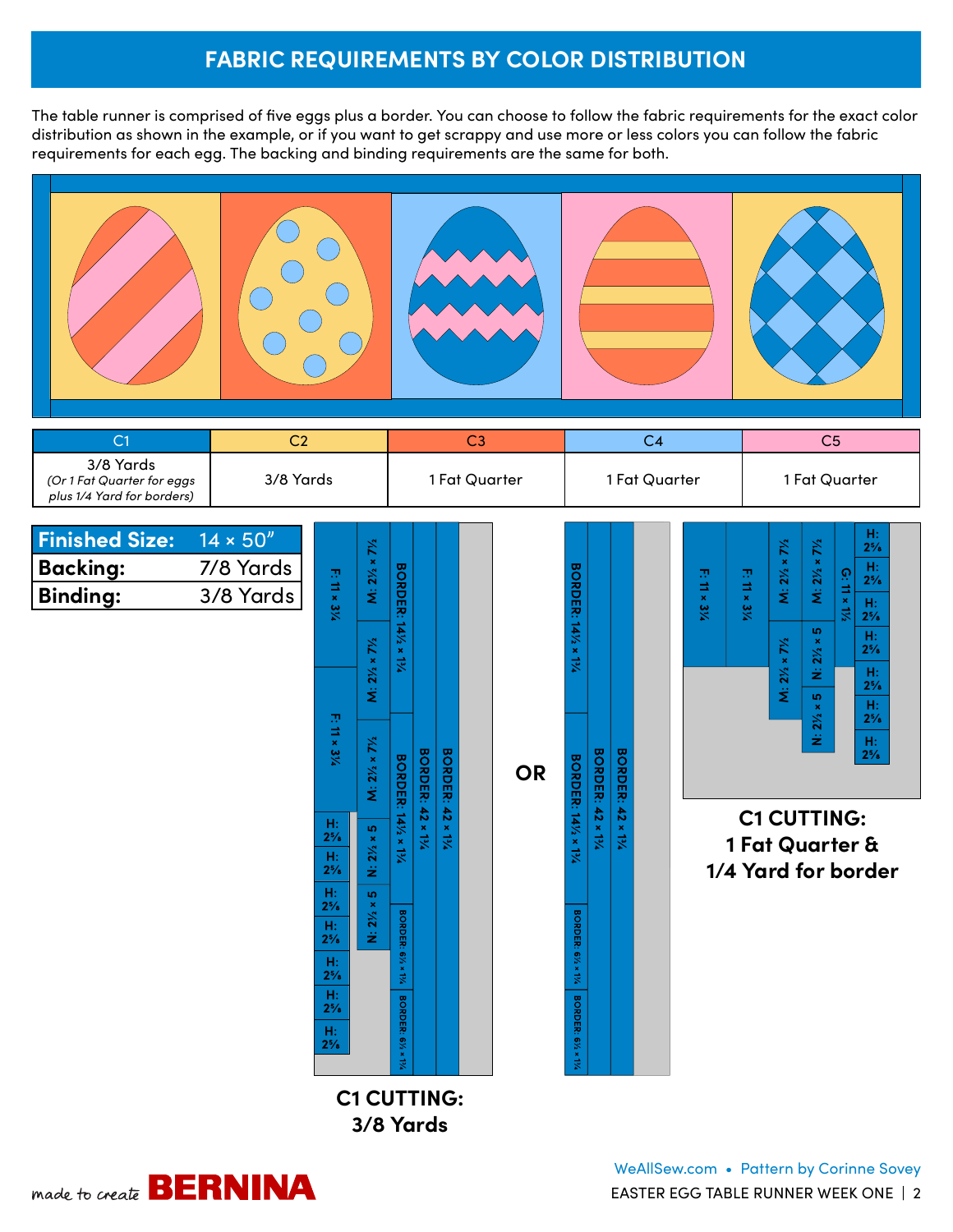# **FABRIC REQUIREMENTS BY COLOR DISTRIBUTION**

The table runner is comprised of five eggs plus a border. You can choose to follow the fabric requirements for the exact color distribution as shown in the example, or if you want to get scrappy and use more or less colors you can follow the fabric requirements for each egg. The backing and binding requirements are the same for both.



| C <sub>1</sub>                                                        | C <sub>2</sub>   |                      |                                       | C3                          |                          |                        |           | C <sub>4</sub>              |                          |                         |  |               | C <sub>5</sub>      |                                       |                                       |                                                    |  |
|-----------------------------------------------------------------------|------------------|----------------------|---------------------------------------|-----------------------------|--------------------------|------------------------|-----------|-----------------------------|--------------------------|-------------------------|--|---------------|---------------------|---------------------------------------|---------------------------------------|----------------------------------------------------|--|
| 3/8 Yards<br>(Or 1 Fat Quarter for eggs<br>plus 1/4 Yard for borders) | 3/8 Yards        |                      |                                       | 1 Fat Quarter               |                          |                        |           | 1 Fat Quarter               |                          |                         |  | 1 Fat Quarter |                     |                                       |                                       |                                                    |  |
| <b>Finished Size:</b>                                                 | $14 \times 50''$ |                      |                                       |                             |                          |                        |           |                             |                          |                         |  |               |                     |                                       |                                       | H:                                                 |  |
| <b>Backing:</b>                                                       | 7/8 Yards        |                      | $M: 2\frac{1}{2} \times 7\frac{1}{2}$ |                             |                          |                        |           |                             |                          |                         |  |               |                     | $M: 2\frac{1}{2} \times 7\frac{1}{2}$ | $M: 2\frac{1}{2} \times 7\frac{1}{2}$ | $2\frac{5}{8}$<br>H <sub>2</sub><br>$2\frac{5}{8}$ |  |
| <b>Binding:</b>                                                       | 3/8 Yards        | F: 11 × 314          |                                       | <b>BORDER: 141/2 x 13/4</b> |                          |                        |           | <b>BORDER: 141/2 x 13/4</b> |                          |                         |  | F: 11 × 314   | F: 11 × 314         |                                       |                                       | $G: 11 \times 1\%$<br>H:<br>$2\frac{5}{8}$         |  |
|                                                                       |                  |                      |                                       |                             |                          |                        |           |                             |                          |                         |  |               |                     |                                       | $N: 2\frac{1}{2} \times 5$            | H:<br>$2\frac{5}{8}$                               |  |
|                                                                       |                  |                      | $M: 2\frac{1}{2} \times 7\frac{1}{2}$ |                             |                          |                        |           |                             |                          |                         |  |               |                     | $M: 2\frac{1}{2} \times 7\frac{1}{2}$ |                                       | H:<br>$2^{5/8}$                                    |  |
|                                                                       |                  |                      |                                       |                             |                          |                        |           |                             |                          |                         |  |               |                     |                                       | $N: 2\frac{1}{2} \times 5$            | H:<br>$2\frac{5}{8}$                               |  |
|                                                                       |                  | F: 11 × 3%           |                                       |                             |                          |                        |           |                             |                          |                         |  |               |                     |                                       |                                       | $\frac{H}{2^{5}/8}$                                |  |
|                                                                       |                  |                      | $M: 2\frac{1}{2} \times 7\frac{1}{2}$ | <b>BORDER: 141/2 × 13/4</b> | <b>BORDER: 42 x 13/4</b> | <b>BORDER: 42 × 1%</b> | <b>OR</b> | <b>BORDER: 141/2 × 13/4</b> | <b>BORDER: 42 × 13/4</b> | <b>BORDER: 42 × 13/</b> |  |               |                     |                                       |                                       |                                                    |  |
|                                                                       |                  | H:                   |                                       |                             |                          |                        |           |                             |                          |                         |  |               |                     | <b>C1 CUTTING:</b>                    |                                       |                                                    |  |
|                                                                       |                  | $2\frac{5}{8}$<br>H: | $N: 2\frac{1}{2} \times 5$            |                             |                          |                        |           |                             |                          |                         |  |               |                     |                                       |                                       | 1 Fat Quarter &                                    |  |
|                                                                       |                  | $2\frac{5}{8}$<br>H: | ю                                     |                             |                          |                        |           |                             |                          |                         |  |               | 1/4 Yard for border |                                       |                                       |                                                    |  |
|                                                                       |                  | $2\frac{5}{8}$<br>H: | $N: 2\frac{1}{2} \times$              |                             |                          |                        |           |                             |                          |                         |  |               |                     |                                       |                                       |                                                    |  |
|                                                                       |                  | $2\frac{5}{8}$<br>H: |                                       | BORDER: 61/2 x 13/4         |                          |                        |           | BORDER: 61/2 x 13/4         |                          |                         |  |               |                     |                                       |                                       |                                                    |  |
|                                                                       |                  | $2\frac{5}{8}$<br>H: |                                       |                             |                          |                        |           |                             |                          |                         |  |               |                     |                                       |                                       |                                                    |  |
|                                                                       |                  | $2\frac{5}{8}$<br>H: |                                       | BORDER: 61/2 x 13/2         |                          |                        |           | BORDER: 61/2 x 13/4         |                          |                         |  |               |                     |                                       |                                       |                                                    |  |
|                                                                       |                  | $2\frac{5}{8}$       |                                       |                             |                          |                        |           |                             |                          |                         |  |               |                     |                                       |                                       |                                                    |  |
|                                                                       |                  |                      | <b>C1 CUTTING:</b><br>3/8 Yards       |                             |                          |                        |           |                             |                          |                         |  |               |                     |                                       |                                       |                                                    |  |

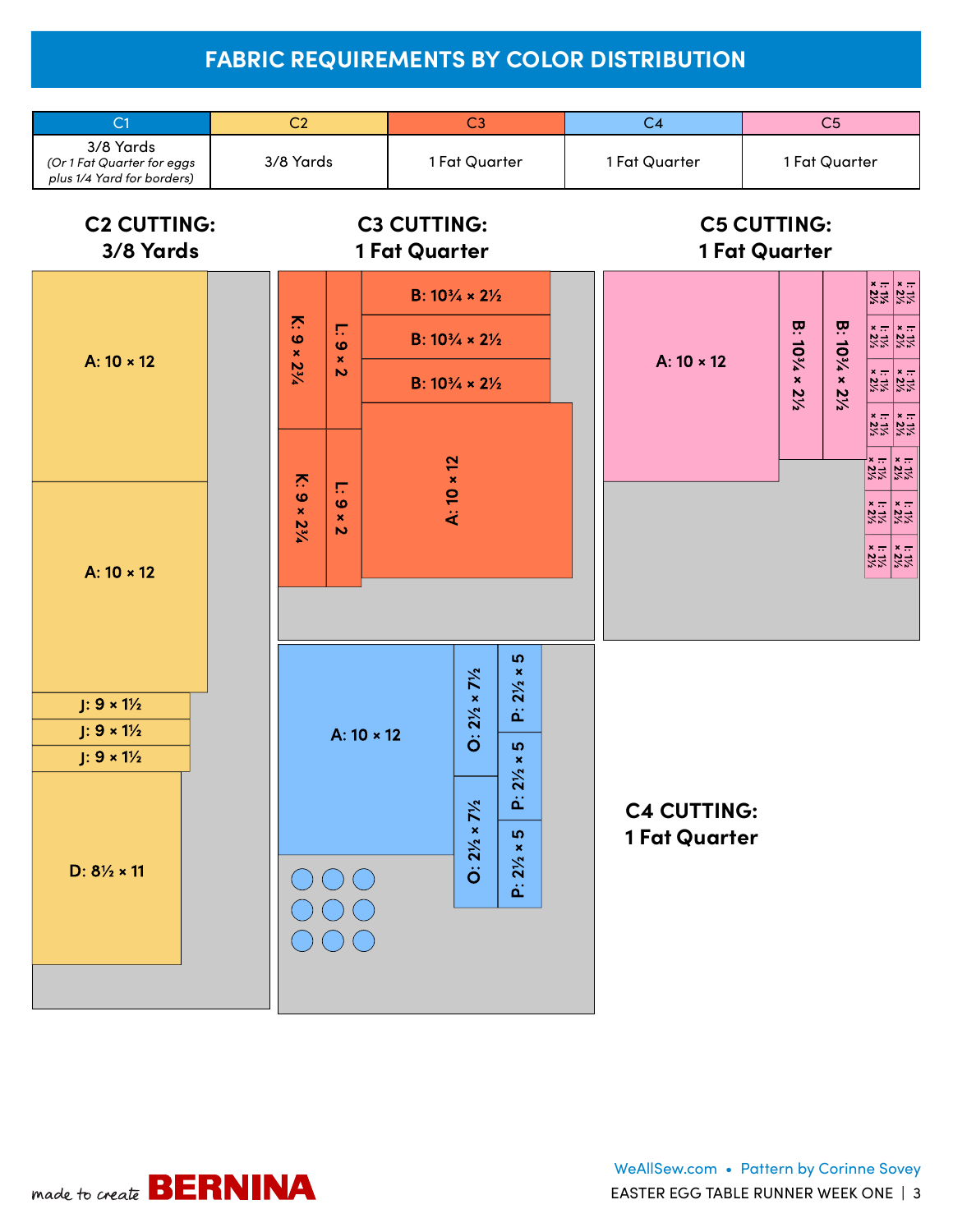# **FABRIC REQUIREMENTS BY COLOR DISTRIBUTION**



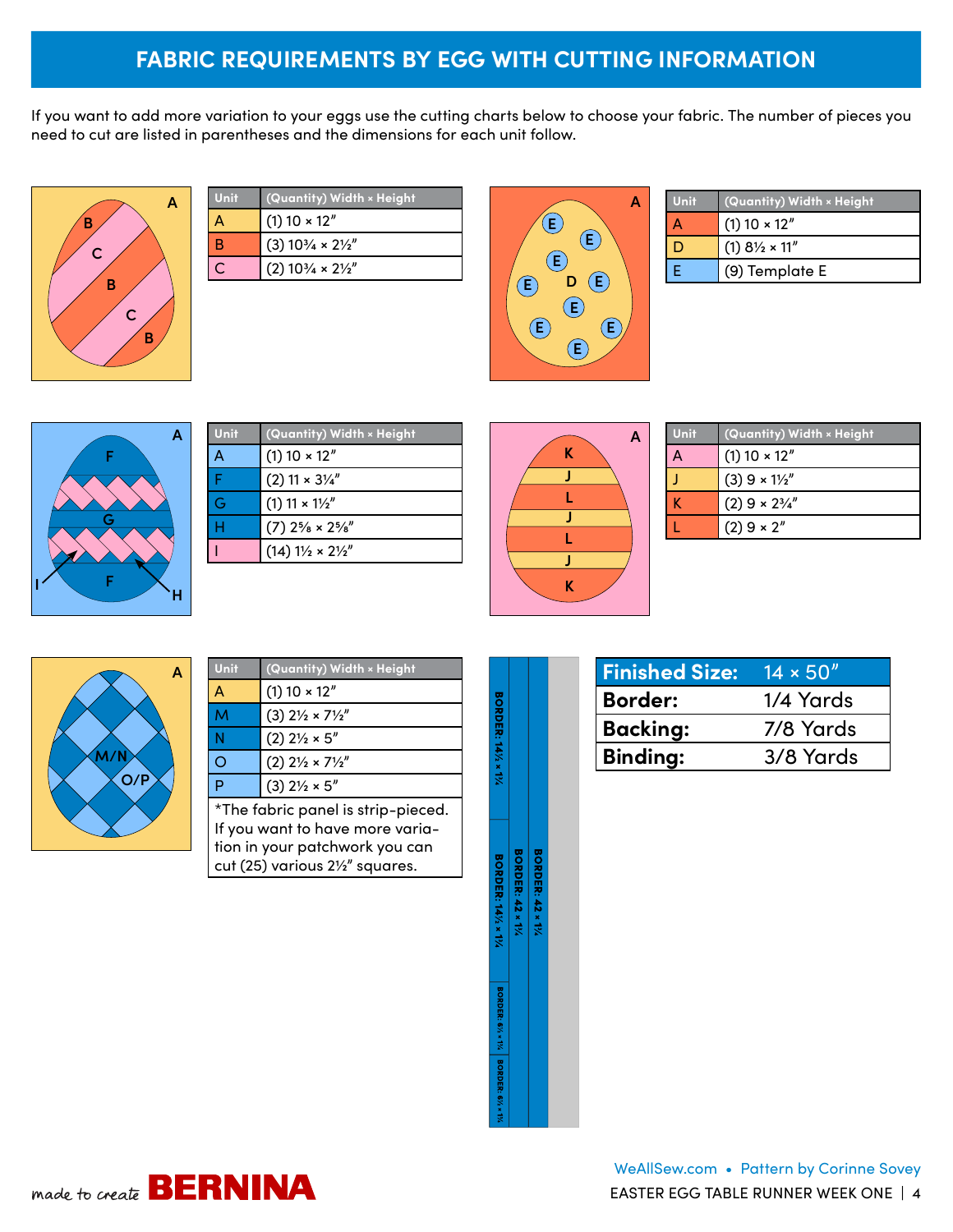# **FABRIC REQUIREMENTS BY EGG WITH CUTTING INFORMATION**

If you want to add more variation to your eggs use the cutting charts below to choose your fabric. The number of pieces you need to cut are listed in parentheses and the dimensions for each unit follow.



| Unit | (Quantity) Width × Height                  |
|------|--------------------------------------------|
|      | $(1)$ 10 $\times$ 12"                      |
| в    | $(3)$ 10 $\frac{3}{4} \times 2\frac{1}{2}$ |
|      | $(2)$ 10 $\frac{3}{4} \times 2\frac{1}{2}$ |
|      |                                            |



| Unit | (Quantity) Width × Height         |
|------|-----------------------------------|
|      | $(1)$ 10 $\times$ 12"             |
| ш    | $(1)$ 8 $\frac{1}{2} \times 11''$ |
| F    | (9) Template E                    |



| Unit | (Quantity) Width × Height                                                               |  |  |  |
|------|-----------------------------------------------------------------------------------------|--|--|--|
| А    | $(1)$ 10 $\times$ 12"                                                                   |  |  |  |
| Ë    | $(2)$ 11 × 3 $\frac{1}{4}$                                                              |  |  |  |
| Ġ    | $(1)$ 11 × 1 $\frac{1}{2}$ "                                                            |  |  |  |
| Н    | $(7)$ 2 <sup>5</sup> / <sub>8</sub> $\times$ 2 <sup>5</sup> / <sub>8</sub> <sup>"</sup> |  |  |  |
|      | $(14) 1\frac{1}{2} \times 2\frac{1}{2}$                                                 |  |  |  |



| <b>Unit</b> | (Quantity) Width × Height   |  |  |  |  |  |  |
|-------------|-----------------------------|--|--|--|--|--|--|
|             | $(1)$ 10 $\times$ 12"       |  |  |  |  |  |  |
|             | $(3)$ 9 × 11/2"             |  |  |  |  |  |  |
|             | $(2)$ 9 × 2 $\frac{3}{4}$ " |  |  |  |  |  |  |
|             | $(2) 9 \times 2''$          |  |  |  |  |  |  |



| Unit                                                                                                                                       | (Quantity) Width × Height                 |  |  |  |  |  |
|--------------------------------------------------------------------------------------------------------------------------------------------|-------------------------------------------|--|--|--|--|--|
| A                                                                                                                                          | $(1)$ 10 $\times$ 12"                     |  |  |  |  |  |
| M                                                                                                                                          | $(3)$ 2 $\frac{1}{2} \times 7\frac{1}{2}$ |  |  |  |  |  |
| Ñ                                                                                                                                          | $(2)$ 2 $\frac{1}{2} \times 5$ "          |  |  |  |  |  |
| Ō                                                                                                                                          | $(2)$ 2 $\frac{1}{2} \times 7\frac{1}{2}$ |  |  |  |  |  |
| Þ                                                                                                                                          | $(3)$ 2 $\frac{1}{2} \times 5$ "          |  |  |  |  |  |
| *The fabric panel is strip-pieced.<br>If you want to have more varia-<br>tion in your patchwork you can<br>cut (25) various 21/2" squares. |                                           |  |  |  |  |  |

| <b>BORDER: 141/2 × 13/4</b>       |                        |                        |
|-----------------------------------|------------------------|------------------------|
| <b>BORDER: 141/2 × 13/4</b>       | <b>BORDER: 42 × 1%</b> | <b>BORDER: 42 × 1%</b> |
|                                   |                        |                        |
| BORDER: 6% × 1%   BORDER: 6% × 1% |                        |                        |

| <b>Finished Size:</b> | $14 \times 50''$ |
|-----------------------|------------------|
| <b>Border:</b>        | 1/4 Yards        |
| <b>Backing:</b>       | 7/8 Yards        |
| <b>Binding:</b>       | 3/8 Yards        |